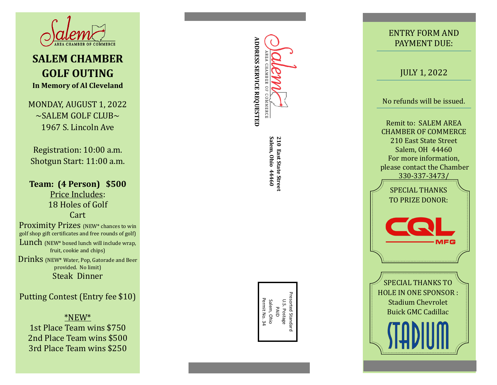

## **SALEM CHAMBER GOLF OUTING In Memory of Al Cleveland**

MONDAY, AUGUST 1, 2022  $\sim$ SALEM GOLF CLUB $\sim$ 1967 S. Lincoln Ave

Registration: 10:00 a.m. Shotgun Start: 11:00 a.m.

**Team: (4 Person) \$500**  Price Includes: 18 Holes of Golf Cart Proximity Prizes (NEW<sup>\*</sup> chances to win golf shop gift certificates and free rounds of golf) Lunch (NEW\* boxed lunch will include wrap, fruit, cookie and chips)

Drinks (NEW\* Water, Pop, Gatorade and Beer provided. No limit) Steak Dinner

Putting Contest (Entry fee \$10)

\*NEW\*

1st Place Team wins \$750 2nd Place Team wins \$500 3rd Place Team wins \$250

# **ADDRESS SERVICE REQUESTED ADDRESS SERVICE REQUESTED** AREA CHAMBER  $_{\rm 50}$ COMMERCE

210 East State Street<br>Salem, Ohio 44460 **Salem, Ohio 44460 210 East State Street**

Presorted Standard Presorted Standard Permit No. 34 Permit No. 34 Salem, Ohio U.S. Postage Salem, Ohio U.S. Postage PAID

### ENTRY FORM AND PAYMENT DUE:

JULY 1, 2022

No refunds will be issued.